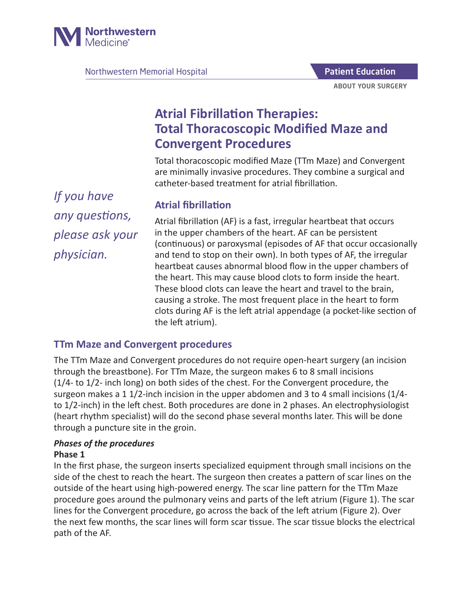

Northwestern Memorial Hospital

ABOUT YOUR SURGERY Patient Education

# **Atrial Fibrillation Therapies: Total Thoracoscopic Modified Maze and Convergent Procedures**

Total thoracoscopic modified Maze (TTm Maze) and Convergent are minimally invasive procedures. They combine a surgical and catheter-based treatment for atrial fibrillation.

*If you have any questions, please ask your physician.*

# **Atrial fibrillation**

Atrial fibrillation (AF) is a fast, irregular heartbeat that occurs in the upper chambers of the heart. AF can be persistent (continuous) or paroxysmal (episodes of AF that occur occasionally and tend to stop on their own). In both types of AF, the irregular heartbeat causes abnormal blood flow in the upper chambers of the heart. This may cause blood clots to form inside the heart. These blood clots can leave the heart and travel to the brain, causing a stroke. The most frequent place in the heart to form clots during AF is the left atrial appendage (a pocket-like section of the left atrium).

### **TTm Maze and Convergent procedures**

The TTm Maze and Convergent procedures do not require open-heart surgery (an incision through the breastbone). For TTm Maze, the surgeon makes 6 to 8 small incisions (1/4- to 1/2- inch long) on both sides of the chest. For the Convergent procedure, the surgeon makes a 1 1/2-inch incision in the upper abdomen and 3 to 4 small incisions (1/4 to 1/2-inch) in the left chest. Both procedures are done in 2 phases. An electrophysiologist (heart rhythm specialist) will do the second phase several months later. This will be done through a puncture site in the groin.

### *Phases of the procedures*

### **Phase 1**

In the first phase, the surgeon inserts specialized equipment through small incisions on the side of the chest to reach the heart. The surgeon then creates a pattern of scar lines on the outside of the heart using high-powered energy. The scar line pattern for the TTm Maze procedure goes around the pulmonary veins and parts of the left atrium (Figure 1). The scar lines for the Convergent procedure, go across the back of the left atrium (Figure 2). Over the next few months, the scar lines will form scar tissue. The scar tissue blocks the electrical path of the AF.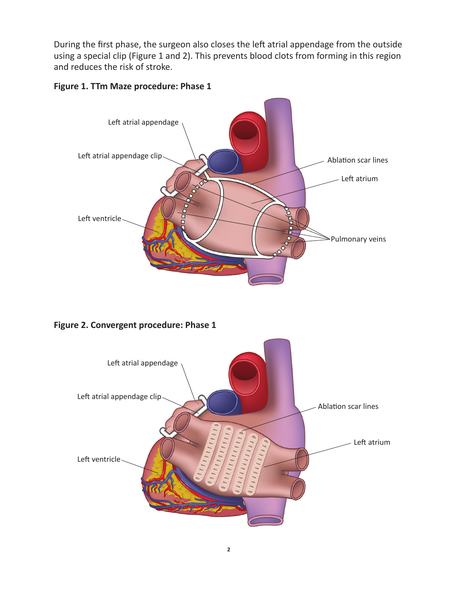During the first phase, the surgeon also closes the left atrial appendage from the outside using a special clip (Figure 1 and 2). This prevents blood clots from forming in this region and reduces the risk of stroke.

#### **Figure 1. TTm Maze procedure: Phase 1**



**Figure 2. Convergent procedure: Phase 1**

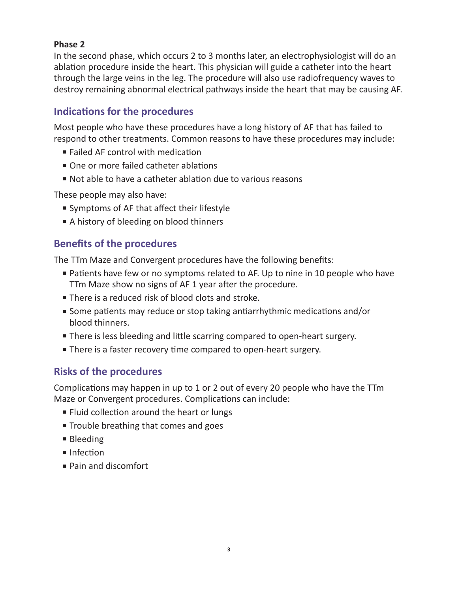#### **Phase 2**

In the second phase, which occurs 2 to 3 months later, an electrophysiologist will do an ablation procedure inside the heart. This physician will guide a catheter into the heart through the large veins in the leg. The procedure will also use radiofrequency waves to destroy remaining abnormal electrical pathways inside the heart that may be causing AF.

## **Indications for the procedures**

Most people who have these procedures have a long history of AF that has failed to respond to other treatments. Common reasons to have these procedures may include:

- Failed AF control with medication
- One or more failed catheter ablations
- Not able to have a catheter ablation due to various reasons

These people may also have:

- Symptoms of AF that affect their lifestyle
- A history of bleeding on blood thinners

# **Benefits of the procedures**

The TTm Maze and Convergent procedures have the following benefits:

- Patients have few or no symptoms related to AF. Up to nine in 10 people who have TTm Maze show no signs of AF 1 year after the procedure.
- There is a reduced risk of blood clots and stroke.
- Some patients may reduce or stop taking antiarrhythmic medications and/or blood thinners.
- There is less bleeding and little scarring compared to open-heart surgery.
- There is a faster recovery time compared to open-heart surgery.

### **Risks of the procedures**

Complications may happen in up to 1 or 2 out of every 20 people who have the TTm Maze or Convergent procedures. Complications can include:

- Fluid collection around the heart or lungs
- Trouble breathing that comes and goes
- Bleeding
- Infection
- Pain and discomfort